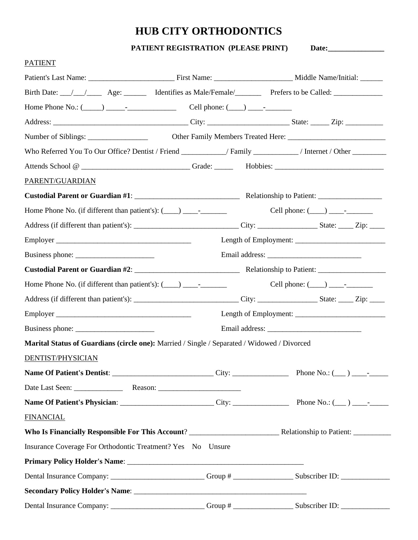# **HUB CITY ORTHODONTICS**

**PATIENT REGISTRATION (PLEASE PRINT)** Date:

| <b>PATIENT</b>                                                                                                            |  |
|---------------------------------------------------------------------------------------------------------------------------|--|
|                                                                                                                           |  |
| Birth Date: //// Age: _______ Identifies as Male/Female/_________ Prefers to be Called: ___________                       |  |
| Home Phone No.: $(\_\_\_\_\_\_$ - $\_\_\_\_$ - $\_\_$ - $\_\_$ - $\_\_$ Cell phone: $(\_\_\_\_\_\_\_$ - $\_\_$ - $\_\_$ - |  |
|                                                                                                                           |  |
|                                                                                                                           |  |
| Who Referred You To Our Office? Dentist / Friend ____________/ Family ___________/ Internet / Other _________             |  |
|                                                                                                                           |  |
| PARENT/GUARDIAN                                                                                                           |  |
|                                                                                                                           |  |
|                                                                                                                           |  |
|                                                                                                                           |  |
|                                                                                                                           |  |
|                                                                                                                           |  |
|                                                                                                                           |  |
|                                                                                                                           |  |
|                                                                                                                           |  |
|                                                                                                                           |  |
|                                                                                                                           |  |
| Marital Status of Guardians (circle one): Married / Single / Separated / Widowed / Divorced                               |  |
| DENTIST/PHYSICIAN                                                                                                         |  |
|                                                                                                                           |  |
|                                                                                                                           |  |
|                                                                                                                           |  |
| <b>FINANCIAL</b>                                                                                                          |  |
|                                                                                                                           |  |
| Insurance Coverage For Orthodontic Treatment? Yes No Unsure                                                               |  |
|                                                                                                                           |  |
| Dental Insurance Company: __________________________Group # _____________________Subscriber ID: ______________            |  |
|                                                                                                                           |  |
| Dental Insurance Company: _________________________Group # ____________________Subscriber ID: ________________            |  |
|                                                                                                                           |  |